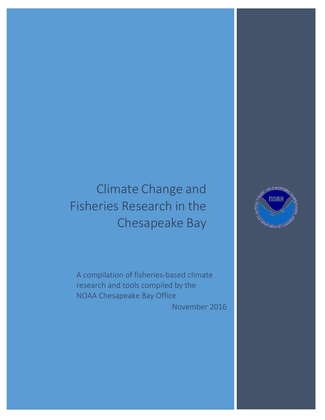# Climate Change and Fisheries Research in the Chesapeake Bay

A compilation of fisheries-based climate research and tools compiled by the NOAA Chesapeake Bay Office

November 2016

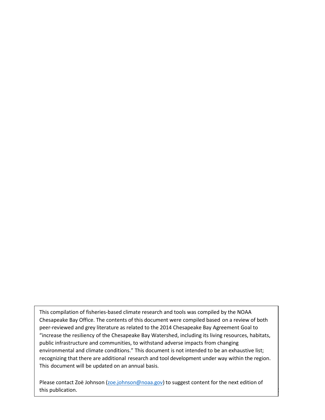This compilation of fisheries-based climate research and tools was compiled by the NOAA Chesapeake Bay Office. The contents of this document were compiled based on a review of both peer-reviewed and grey literature as related to the 2014 Chesapeake Bay Agreement Goal to "increase the resiliency of the Chesapeake Bay Watershed, including its living resources, habitats, public infrastructure and communities, to withstand adverse impacts from changing environmental and climate conditions." This document is not intended to be an exhaustive list; recognizing that there are additional research and tool development under way within [the region.](mailto:zoe.johnson@noaa.gov)  This document will be updated on an annual basis.

Please contact Zoë Johnson (zoe.johnson@noaa.gov) to suggest content for the next edition of this publication.

 $\frac{1}{2}$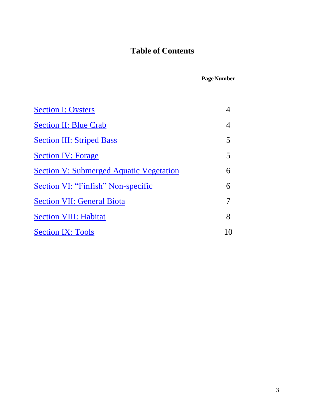## **Table of Contents**

**Page Number**

| <b>Section I: Oysters</b>                       |       |
|-------------------------------------------------|-------|
| <b>Section II: Blue Crab</b>                    | 4     |
| <b>Section III: Striped Bass</b>                | 5     |
| <b>Section IV: Forage</b>                       | 5     |
| <u> Section V: Submerged Aquatic Vegetation</u> | 6     |
| Section VI: "Finfish" Non-specific              | 6     |
| <b>Section VII: General Biota</b>               |       |
| <b>Section VIII: Habitat</b>                    | 8     |
| <b>Section IX: Tools</b>                        | I ( ) |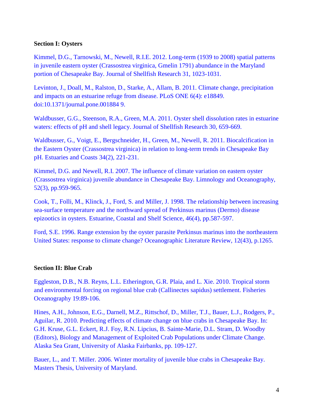## <span id="page-3-0"></span>**Section I: Oysters**

[Kimmel, D.G., Tarnowski, M., Newell, R.I.E. 2012. Long-term \(1939 to 2008\) spatial patterns](http://www.bioone.org/doi/abs/10.2983/035.031.0414)  [in juvenile eastern oyster \(Crassostrea virginica, Gmelin 1791\) abundance in the Maryland](http://www.bioone.org/doi/abs/10.2983/035.031.0414)  [portion of Chesapeake Bay. Journal of Shellfish Research 31, 1023-1031.](http://www.bioone.org/doi/abs/10.2983/035.031.0414)

[Levinton, J., Doall, M., Ralston, D., Starke, A., Allam, B. 2011. Climate change, precipitation](http://journals.plos.org/plosone/article?id=10.1371/journal.pone.0018849)  [and impacts on an estuarine refuge from disease. PLoS ONE 6\(4\): e18849.](http://journals.plos.org/plosone/article?id=10.1371/journal.pone.0018849)  [doi:10.1371/journal.pone.001884 9.](http://journals.plos.org/plosone/article?id=10.1371/journal.pone.0018849)

Waldbusser, G.G., Steenson, R.A., Green, M.A. [2011. Oyster shell dissolution rates in estuarine](http://www.bioone.org/doi/abs/10.2983/035.030.0308)  [waters: effects of pH and shell legacy. Journal of Shellfish Research 30, 659-669.](http://www.bioone.org/doi/abs/10.2983/035.030.0308)

[Waldbusser, G., Voigt, E., Bergschneider, H., Green, M., Newell, R. 2011. Biocalcification in](http://oceanacidification.msi.ucsb.edu/workshops/reading-resources/Waldbrusser%202011-Estauries%20and%20coasts.pdf)  [the Eastern Oyster \(Crassostrea virginica\) in relation to long-term trends in Chesapeake Bay](http://oceanacidification.msi.ucsb.edu/workshops/reading-resources/Waldbrusser%202011-Estauries%20and%20coasts.pdf)  [pH. Estuaries and Coasts 34\(2\), 221-231.](http://oceanacidification.msi.ucsb.edu/workshops/reading-resources/Waldbrusser%202011-Estauries%20and%20coasts.pdf)

Kimmel, D.G. and Newell, R.I. [2007. The influence of climate variation on eastern oyster](http://onlinelibrary.wiley.com/doi/10.4319/lo.2007.52.3.0959/pdf)  [\(Crassostrea virginica\) juvenile abundance in Chesapeake Bay. Limnology and Oceanography,](http://onlinelibrary.wiley.com/doi/10.4319/lo.2007.52.3.0959/pdf)  [52\(3\), pp.959-965.](http://onlinelibrary.wiley.com/doi/10.4319/lo.2007.52.3.0959/pdf)

[Cook, T., Folli, M., Klinck, J., Ford, S. and Miller, J. 1998. The relationship between increasing](http://www.atmos.washington.edu/~dennis/Cook_Oyster_ECSS_1998.pdf)  [sea-surface temperature and the northward spread of Perkinsus marinus \(Dermo\) disease](http://www.atmos.washington.edu/~dennis/Cook_Oyster_ECSS_1998.pdf)  [epizootics in oysters. Estuarine, Coastal and Shelf Science, 46\(4\), pp.587-597.](http://www.atmos.washington.edu/~dennis/Cook_Oyster_ECSS_1998.pdf)

[Ford, S.E. 1996. Range extension by the oyster parasite Perkinsus marinus into the northeastern](https://www.researchgate.net/publication/279905411_Ford_S_E_Range_extension_by_the_oyster_parasite_Perkinsus_marinus_into_the_northeastern_United_States_response_to_climate_change_J_Shellfish_Res)  United States: response to climate change? [Oceanographic Literature Review, 12\(43\), p.1265.](https://www.researchgate.net/publication/279905411_Ford_S_E_Range_extension_by_the_oyster_parasite_Perkinsus_marinus_into_the_northeastern_United_States_response_to_climate_change_J_Shellfish_Res)

## <span id="page-3-1"></span>**Section II: Blue Crab**

[Eggleston, D.B., N.B. Reyns, L.L. Etherington, G.R. Plaia, and L. Xie. 2010. Tropical storm](http://onlinelibrary.wiley.com/doi/10.1111/j.1365-2419.2009.00530.x/abstract)  and environmental forcing on regional [blue crab \(Callinectes sapidus\) settlement. Fisheries](http://onlinelibrary.wiley.com/doi/10.1111/j.1365-2419.2009.00530.x/abstract)  [Oceanography 19:89-106.](http://onlinelibrary.wiley.com/doi/10.1111/j.1365-2419.2009.00530.x/abstract)

[Hines, A.H., Johnson, E.G., Darnell, M.Z., Rittschof, D., Miller, T.J., Bauer,](http://nsgl.gso.uri.edu/mdu/mdur10023.pdf) L.J., Rodgers, P., Aguilar, R. [2010. Predicting effects of climate change on blue crabs in Chesapeake Bay. In:](http://nsgl.gso.uri.edu/mdu/mdur10023.pdf)  [G.H. Kruse, G.L. Eckert, R.J. Foy, R.N. Lipcius, B. Sainte-Marie, D.L. Stram, D. Woodby](http://nsgl.gso.uri.edu/mdu/mdur10023.pdf)  [\(Editors\), Biology and Management of Exploited Crab Populations under Climate Change.](http://nsgl.gso.uri.edu/mdu/mdur10023.pdf)  [Alaska Sea Grant, University of Alaska Fairbanks, pp. 109-127.](http://nsgl.gso.uri.edu/mdu/mdur10023.pdf)

[Bauer, L., and T. Miller. 2006. Winter mortality of juvenile blue crabs in Chesapeake Bay.](http://drum.lib.umd.edu/bitstream/handle/1903/3363/umi-umd-3173.pdf;sequence=1)  [Masters Thesis, University of Maryland.](http://drum.lib.umd.edu/bitstream/handle/1903/3363/umi-umd-3173.pdf;sequence=1)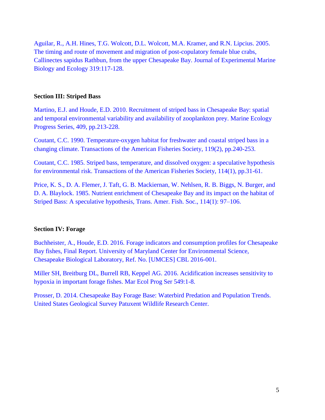Aguilar, R., A.H. Hines, T.G. Wolcott, D.L. [Wolcott, M.A. Kramer, and R.N. Lipcius. 2005.](http://ac.els-cdn.com/S0022098105000237/1-s2.0-S0022098105000237-main.pdf?_tid=9d5e86fa-446a-11e6-a82e-00000aacb361&acdnat=1467913718_735ecba7426e885a87e28e1ba6c2a002)  [The timing and route of movement and migration of post-copulatory female blue crabs,](http://ac.els-cdn.com/S0022098105000237/1-s2.0-S0022098105000237-main.pdf?_tid=9d5e86fa-446a-11e6-a82e-00000aacb361&acdnat=1467913718_735ecba7426e885a87e28e1ba6c2a002)  [Callinectes sapidus Rathbun, from the upper Chesapeake Bay. Journal of Experimental Marine](http://ac.els-cdn.com/S0022098105000237/1-s2.0-S0022098105000237-main.pdf?_tid=9d5e86fa-446a-11e6-a82e-00000aacb361&acdnat=1467913718_735ecba7426e885a87e28e1ba6c2a002)  [Biology and Ecology 319:117-128.](http://ac.els-cdn.com/S0022098105000237/1-s2.0-S0022098105000237-main.pdf?_tid=9d5e86fa-446a-11e6-a82e-00000aacb361&acdnat=1467913718_735ecba7426e885a87e28e1ba6c2a002)

## <span id="page-4-0"></span>**Section III: Striped Bass**

[Martino, E.J. and Houde, E.D. 2010. Recruitment of striped bass in Chesapeake Bay: spatial](http://www.int-res.com/articles/meps2010/409/m409p213.pdf)  [and temporal environmental variability and availability of zooplankton prey. Marine Ecology](http://www.int-res.com/articles/meps2010/409/m409p213.pdf)  [Progress Series, 409, pp.213-228.](http://www.int-res.com/articles/meps2010/409/m409p213.pdf)

[Coutant, C.C. 1990. Temperature-oxygen habitat for freshwater and coastal striped bass in a](http://www.tandfonline.com/doi/abs/10.1577/1548-8659(1990)119%3C0240%3ATHFFAC%3E2.3.CO%3B2)  [changing climate. Transactions of the American Fisheries Society, 119\(2\), pp.240-253.](http://www.tandfonline.com/doi/abs/10.1577/1548-8659(1990)119%3C0240%3ATHFFAC%3E2.3.CO%3B2)

[Coutant, C.C. 1985. Striped bass, temperature, and dissolved oxygen: a speculative hypothesis](https://www.researchgate.net/publication/250019423_Striped_Bass_Temperature_and_Dissolved_Oxygen_A_Speculative_Hypothesis_for_Environmental_Risk)  [for environmental risk. Transactions of the American Fisheries Society, 114\(1\), pp.31-61.](https://www.researchgate.net/publication/250019423_Striped_Bass_Temperature_and_Dissolved_Oxygen_A_Speculative_Hypothesis_for_Environmental_Risk)

[Price, K. S., D. A. Flemer, J. Taft, G. B. Mackiernan, W. Nehlsen, R. B. Biggs, N. Burger, and](http://www.tandfonline.com/doi/abs/10.1577/1548-8659(1985)114%3C97%3ANEOCBA%3E2.0.CO%3B2)  D. A. Blaylock. 1985. Nutrient enrichment [of Chesapeake Bay and its impact on the habitat of](http://www.tandfonline.com/doi/abs/10.1577/1548-8659(1985)114%3C97%3ANEOCBA%3E2.0.CO%3B2)  [Striped Bass: A speculative hypothesis, Trans. Amer. Fish. Soc., 114\(1\): 97–106.](http://www.tandfonline.com/doi/abs/10.1577/1548-8659(1985)114%3C97%3ANEOCBA%3E2.0.CO%3B2)

## <span id="page-4-1"></span>**Section IV: Forage**

[Buchheister, A., Houde, E.D. 2016. Forage indicators and consumption profiles for Chesapeake](http://www.chesapeakebay.net/channel_files/23179/3_buchheister_git_meeting_12-14-15_final.pdf)  [Bay fishes, Final Report. University of Maryland Center for Environmental Science,](http://www.chesapeakebay.net/channel_files/23179/3_buchheister_git_meeting_12-14-15_final.pdf)  [Chesapeake Biological Laboratory, Ref. No. \[UMCES\]](http://www.chesapeakebay.net/channel_files/23179/3_buchheister_git_meeting_12-14-15_final.pdf) CBL 2016-001.

[Miller SH, Breitburg DL, Burrell RB, Keppel AG. 2016.](http://www.int-res.com/articles/feature/m549p001.pdf) Acidification increases sensitivity to [hypoxia in important forage fishes. Mar Ecol Prog Ser 549:1-8.](http://www.int-res.com/articles/feature/m549p001.pdf)

<span id="page-4-2"></span>[Prosser, D. 2014. Chesapeake Bay Forage Base: Waterbird Predation and Population Trends.](http://www.chesapeake.org/stac/presentations/234_20141112_Prosser_Waterbirds.pdf)  [United States Geological Survey Patuxent Wildlife Research Center.](http://www.chesapeake.org/stac/presentations/234_20141112_Prosser_Waterbirds.pdf)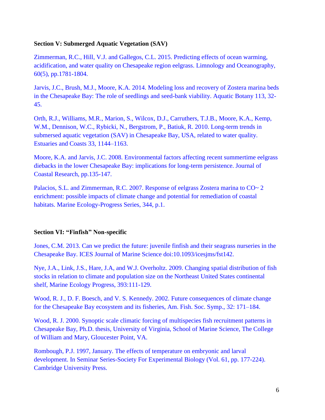## **Section V: Submerged Aquatic Vegetation (SAV)**

[Zimmerman, R.C., Hill, V.J. and Gallegos, C.L. 2015. Predicting effects of ocean warming,](https://www.researchgate.net/profile/Victoria_Hill8/publication/280732967_Predicting_effects_of_ocean_warming_acidification_and_water_quality_on_Chesapeake_region_eelgrass/links/55c3b8fa08aeca747d5fadbd.pdf)  [acidification, and water quality on Chesapeake region eelgrass. Limnology and Oceanography,](https://www.researchgate.net/profile/Victoria_Hill8/publication/280732967_Predicting_effects_of_ocean_warming_acidification_and_water_quality_on_Chesapeake_region_eelgrass/links/55c3b8fa08aeca747d5fadbd.pdf)  [60\(5\), pp.1781-1804.](https://www.researchgate.net/profile/Victoria_Hill8/publication/280732967_Predicting_effects_of_ocean_warming_acidification_and_water_quality_on_Chesapeake_region_eelgrass/links/55c3b8fa08aeca747d5fadbd.pdf)

[Jarvis, J.C., Brush, M.J., Moore, K.A. 2014. Modeling loss and recovery of Zostera marina beds](https://research.jcu.edu.au/tropwater/publications/Jarvisetal2014ModelinglossandrecoveryofZosteramarinabedsintheChesapeakeBay.pdf)  [in the Chesapeake Bay: The role of seedlings and seed-bank viability. Aquatic](https://research.jcu.edu.au/tropwater/publications/Jarvisetal2014ModelinglossandrecoveryofZosteramarinabedsintheChesapeakeBay.pdf) Botany 113, 32- [45.](https://research.jcu.edu.au/tropwater/publications/Jarvisetal2014ModelinglossandrecoveryofZosteramarinabedsintheChesapeakeBay.pdf)

[Orth, R.J., Williams, M.R., Marion, S., Wilcox, D.J., Carruthers, T.J.B., Moore, K.A., Kemp,](http://www.jstor.org/stable/40863485?seq=1#page_scan_tab_contents)  [W.M., Dennison, W.C., Rybicki, N., Bergstrom, P., Batiuk, R. 2010. Long-term trends in](http://www.jstor.org/stable/40863485?seq=1#page_scan_tab_contents)  [submersed aquatic vegetation \(SAV\) in Chesapeake Bay, USA, related to water quality.](http://www.jstor.org/stable/40863485?seq=1#page_scan_tab_contents)  [Estuaries and Coasts 33, 1144–1163.](http://www.jstor.org/stable/40863485?seq=1#page_scan_tab_contents)

[Moore, K.A. and Jarvis, J.C. 2008. Environmental factors affecting recent summertime eelgrass](http://www.bioone.org/doi/full/10.2112/SI55-014)  [diebacks in the lower Chesapeake Bay: implications for long-term persistence. Journal of](http://www.bioone.org/doi/full/10.2112/SI55-014)  [Coastal Research, pp.135-147.](http://www.bioone.org/doi/full/10.2112/SI55-014)

[Palacios, S.L. and Zimmerman, R.C. 2007. Response of eelgrass Zostera marina to CO~ 2](http://www.int-res.com/articles/feature/m344p001)  [enrichment: possible impacts of climate change and potential for remediation of coastal](http://www.int-res.com/articles/feature/m344p001)  [habitats. Marine Ecology-Progress Series, 344, p.1.](http://www.int-res.com/articles/feature/m344p001)

## <span id="page-5-0"></span>**Section VI: "Finfish" Non-specific**

[Jones, C.M. 2013. Can we predict the future: juvenile finfish and their seagrass nurseries in the](http://icesjms.oxfordjournals.org/content/early/2013/09/04/icesjms.fst142.full.pdf+html)  Chesapeake [Bay. ICES Journal of Marine Science doi:10.1093/icesjms/fst142.](http://icesjms.oxfordjournals.org/content/early/2013/09/04/icesjms.fst142.full.pdf+html)

[Nye, J.A., Link, J.S., Hare, J.A, and W.J. Overholtz. 2009. Changing spatial distribution of fish](http://www.int-res.com/abstracts/meps/v393/p111-129)  [stocks in relation to climate and population size on the Northeast United States continental](http://www.int-res.com/abstracts/meps/v393/p111-129)  [shelf, Marine Ecology Progress, 393:111-129.](http://www.int-res.com/abstracts/meps/v393/p111-129)

[Wood, R. J., D. F. Boesch, and V. S. Kennedy. 2002. Future consequences of climate change](http://www.umces.edu/sites/default/files/pdfs/db_Future.pdf)  [for the Chesapeake Bay ecosystem and its fisheries, Am. Fish. Soc. Symp., 32: 171–184.](http://www.umces.edu/sites/default/files/pdfs/db_Future.pdf)

[Wood, R. J. 2000. Synoptic scale climatic forcing of multispecies fish recruitment patterns in](http://proxy.vims.edu/library/Theses/Wood2000.pdf)  [Chesapeake Bay, Ph.D. thesis, University of Virginia, School of Marine Science, The College](http://proxy.vims.edu/library/Theses/Wood2000.pdf)  [of William and Mary, Gloucester Point, VA.](http://proxy.vims.edu/library/Theses/Wood2000.pdf)

[Rombough, P.J. 1997, January. The effects of temperature on embryonic and larval](https://books.google.com/books?hl=en&lr=&id=p7L0x74mrNEC&oi=fnd&pg=PA177&dq=Rombough,+P.J.,+1997,+January.+The+effects+of+temperature+on+embryonic+and+larval+development.+In+Seminar+Series-Society+For+Experimental+Biology(Vol.+61,+pp.+177-224).+Cambridge+University+Press.&ots=-2fhai2RUX&sig=6sFKzpHzT_bQzBjIKUiR66gqiLQ#v=onepage&q&f=false)  [development. In Seminar Series-Society For Experimental Biology](https://books.google.com/books?hl=en&lr=&id=p7L0x74mrNEC&oi=fnd&pg=PA177&dq=Rombough,+P.J.,+1997,+January.+The+effects+of+temperature+on+embryonic+and+larval+development.+In+Seminar+Series-Society+For+Experimental+Biology(Vol.+61,+pp.+177-224).+Cambridge+University+Press.&ots=-2fhai2RUX&sig=6sFKzpHzT_bQzBjIKUiR66gqiLQ#v=onepage&q&f=false) (Vol. 61, pp. 177-224). [Cambridge University Press.](https://books.google.com/books?hl=en&lr=&id=p7L0x74mrNEC&oi=fnd&pg=PA177&dq=Rombough,+P.J.,+1997,+January.+The+effects+of+temperature+on+embryonic+and+larval+development.+In+Seminar+Series-Society+For+Experimental+Biology(Vol.+61,+pp.+177-224).+Cambridge+University+Press.&ots=-2fhai2RUX&sig=6sFKzpHzT_bQzBjIKUiR66gqiLQ#v=onepage&q&f=false)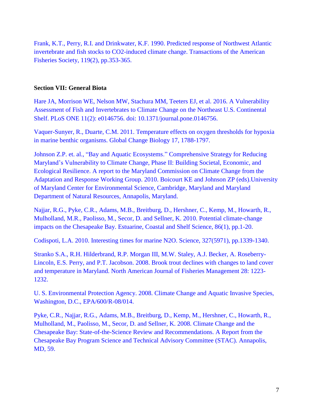[Frank, K.T., Perry, R.I. and Drinkwater, K.F. 1990. Predicted response of Northwest Atlantic](http://www.tandfonline.com/doi/abs/10.1577/1548-8659(1990)119%3C0353%3APRONAI%3E2.3.CO%3B2)  [invertebrate and fish stocks to CO2-induced climate change. Transactions of the American](http://www.tandfonline.com/doi/abs/10.1577/1548-8659(1990)119%3C0353%3APRONAI%3E2.3.CO%3B2)  [Fisheries Society, 119\(2\), pp.353-365.](http://www.tandfonline.com/doi/abs/10.1577/1548-8659(1990)119%3C0353%3APRONAI%3E2.3.CO%3B2)

## <span id="page-6-0"></span>**Section VII: General Biota**

[Hare JA, Morrison WE, Nelson MW, Stachura MM, Teeters EJ, et al. 2016.](http://journals.plos.org/plosone/article?id=10.1371/journal.pone.0146756) A Vulnerability [Assessment of Fish and Invertebrates to Climate Change on the Northeast U.S. Continental](http://journals.plos.org/plosone/article?id=10.1371/journal.pone.0146756)  [Shelf. PLoS ONE 11\(2\): e0146756. doi: 10.1371/journal.pone.0146756.](http://journals.plos.org/plosone/article?id=10.1371/journal.pone.0146756)

[Vaquer-Sunyer, R., Duarte, C.M. 2011. Temperature effects on oxygen thresholds for hypoxia](http://digital.csic.es/bitstream/10261/30809/3/Temperature%20effects%20on%20thresholds%20of%20hypoxia%20for%20marine%20benthic%20organisms.pdf)  [in marine benthic organisms. Global Change Biology 17, 1788-1797.](http://digital.csic.es/bitstream/10261/30809/3/Temperature%20effects%20on%20thresholds%20of%20hypoxia%20for%20marine%20benthic%20organisms.pdf)

Johnson Z.P. et. al., "Bay and Aquatic Ecosystems." [Comprehensive Strategy for Reducing](http://climatechange.maryland.gov/wp-content/uploads/sites/16/2014/12/ian_report_2991.pdf)  [Maryland's Vulnerability to Climate Change, Phase II: Building Societal, Economic, and](http://climatechange.maryland.gov/wp-content/uploads/sites/16/2014/12/ian_report_2991.pdf)  [Ecological Resilience. A report to the Maryland Commission on Climate Change from the](http://climatechange.maryland.gov/wp-content/uploads/sites/16/2014/12/ian_report_2991.pdf)  Adaptation and Response Working Group. [2010. Boicourt KE and Johnson ZP \(eds\).University](http://climatechange.maryland.gov/wp-content/uploads/sites/16/2014/12/ian_report_2991.pdf)  [of Maryland Center for Environmental Science, Cambridge, Maryland and Maryland](http://climatechange.maryland.gov/wp-content/uploads/sites/16/2014/12/ian_report_2991.pdf)  [Department of Natural Resources, Annapolis, Maryland.](http://climatechange.maryland.gov/wp-content/uploads/sites/16/2014/12/ian_report_2991.pdf)

[Najjar, R.G., Pyke, C.R., Adams, M.B., Breitburg, D., Hershner, C., Kemp, M., Howarth, R.,](http://www.nrs.fs.fed.us/pubs/jrnl/2010/nrs_2010_najjar_001.pdf)  [Mulholland, M.R., Paolisso, M., Secor, D. and Sellner, K. 2010. Potential climate-change](http://www.nrs.fs.fed.us/pubs/jrnl/2010/nrs_2010_najjar_001.pdf)  [impacts on the Chesapeake Bay. Estuarine, Coastal and Shelf Science, 86\(1\), pp.1-20.](http://www.nrs.fs.fed.us/pubs/jrnl/2010/nrs_2010_najjar_001.pdf)

[Codispoti, L.A. 2010. Interesting times for marine N2O. Science, 327\(5971\), pp.1339-1340.](http://science.sciencemag.org/content/sci/327/5971/1339.full.pdf)

[Stranko S.A., R.H. Hilderbrand, R.P. Morgan III, M.W. Staley, A.J. Becker, A. Roseberry-](http://citeseerx.ist.psu.edu/viewdoc/download?doi=10.1.1.544.7307&rep=rep1&type=pdf)[Lincoln, E.S. Perry, and P.T. Jacobson. 2008. Brook trout declines with changes to land cover](http://citeseerx.ist.psu.edu/viewdoc/download?doi=10.1.1.544.7307&rep=rep1&type=pdf)  [and temperature in Maryland. North American Journal of Fisheries Management 28: 1223-](http://citeseerx.ist.psu.edu/viewdoc/download?doi=10.1.1.544.7307&rep=rep1&type=pdf) [1232.](http://citeseerx.ist.psu.edu/viewdoc/download?doi=10.1.1.544.7307&rep=rep1&type=pdf)

[U. S. Environmental Protection Agency. 2008. Climate Change and Aquatic Invasive Species,](http://www.chesapeake.org/pubs/Copy%20of%20climatechangefinaldraft.pdf)  [Washington, D.C., EPA/600/R-08/014.](http://www.chesapeake.org/pubs/Copy%20of%20climatechangefinaldraft.pdf)

[Pyke, C.R., Najjar, R.G., Adams, M.B., Breitburg, D., Kemp, M., Hershner, C., Howarth, R.,](http://www.nrs.fs.fed.us/pubs/jrnl/2010/nrs_2010_najjar_001.pdf)  [Mulholland, M., Paolisso, M., Secor, D. and Sellner, K. 2008. Climate Change and the](http://www.nrs.fs.fed.us/pubs/jrnl/2010/nrs_2010_najjar_001.pdf)  [Chesapeake Bay: State-of-the-Science Review and Recommendations. A Report from the](http://www.nrs.fs.fed.us/pubs/jrnl/2010/nrs_2010_najjar_001.pdf)  [Chesapeake Bay Program Science and Technical Advisory Committee \(STAC\). Annapolis,](http://www.nrs.fs.fed.us/pubs/jrnl/2010/nrs_2010_najjar_001.pdf)  [MD, 59.](http://www.nrs.fs.fed.us/pubs/jrnl/2010/nrs_2010_najjar_001.pdf)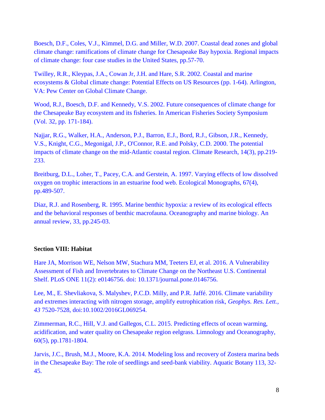[Boesch, D.F., Coles, V.J., Kimmel, D.G. and Miller, W.D. 2007. Coastal dead zones and global](http://www.c2es.org/docUploads/Regional-Impacts-Chesapeake.pdf)  [climate change: ramifications of climate change for Chesapeake Bay hypoxia. Regional impacts](http://www.c2es.org/docUploads/Regional-Impacts-Chesapeake.pdf)  [of climate change: four case studies in the United States, pp.57-70.](http://www.c2es.org/docUploads/Regional-Impacts-Chesapeake.pdf)

[Twilley, R.R., Kleypas, J.A., Cowan Jr, J.H. and Hare, S.R. 2002. Coastal and marine](http://www.c2es.org/taxonomy/term/138)  [ecosystems & Global climate change: Potential Effects on US Resources \(pp. 1-64\). Arlington,](http://www.c2es.org/taxonomy/term/138)  [VA: Pew Center on Global Climate Change.](http://www.c2es.org/taxonomy/term/138)

[Wood, R.J., Boesch, D.F. and Kennedy, V.S. 2002. Future consequences of climate change for](http://www.umces.edu/sites/default/files/pdfs/db_Future.pdf)  [the Chesapeake Bay ecosystem and its fisheries. In American Fisheries Society Symposium](http://www.umces.edu/sites/default/files/pdfs/db_Future.pdf)  [\(Vol. 32, pp. 171-184\).](http://www.umces.edu/sites/default/files/pdfs/db_Future.pdf)

[Najjar, R.G., Walker, H.A., Anderson, P.J., Barron, E.J., Bord, R.J., Gibson, J.R., Kennedy,](http://www.cara.psu.edu/about/publications/Najjar_et_al_2000.pdf)  [V.S., Knight, C.G., Megonigal, J.P., O'Connor, R.E. and Polsky, C.D. 2000. The potential](http://www.cara.psu.edu/about/publications/Najjar_et_al_2000.pdf)  [impacts of climate change on the mid-Atlantic coastal region. Climate Research, 14\(3\), pp.219-](http://www.cara.psu.edu/about/publications/Najjar_et_al_2000.pdf) [233.](http://www.cara.psu.edu/about/publications/Najjar_et_al_2000.pdf)

[Breitburg, D.L., Loher, T., Pacey, C.A. and Gerstein, A. 1997. Varying effects of low dissolved](http://www.jstor.org/stable/2963467?seq=1#page_scan_tab_contents)  [oxygen on trophic interactions in an estuarine food web. Ecological Monographs, 67\(4\),](http://www.jstor.org/stable/2963467?seq=1#page_scan_tab_contents)  [pp.489-507.](http://www.jstor.org/stable/2963467?seq=1#page_scan_tab_contents)

Diaz, R.J. and Rosenberg, R. 1995. Marine [benthic hypoxia: a review of its ecological effects](https://www.researchgate.net/profile/Robert_Diaz5/publication/236628341_Marine_benthic_hypoxia_a_review_of_its_ecological_effects_and_the_behavioral_responses_of_benthic_macrofauna._Oceanogr_Mar_Biol_33245-303_An_Annual_Review/links/02e7e526a7c717396d000000.pdf)  [and the behavioral responses of benthic macrofauna. Oceanography and marine biology. An](https://www.researchgate.net/profile/Robert_Diaz5/publication/236628341_Marine_benthic_hypoxia_a_review_of_its_ecological_effects_and_the_behavioral_responses_of_benthic_macrofauna._Oceanogr_Mar_Biol_33245-303_An_Annual_Review/links/02e7e526a7c717396d000000.pdf)  [annual review, 33, pp.245-03.](https://www.researchgate.net/profile/Robert_Diaz5/publication/236628341_Marine_benthic_hypoxia_a_review_of_its_ecological_effects_and_the_behavioral_responses_of_benthic_macrofauna._Oceanogr_Mar_Biol_33245-303_An_Annual_Review/links/02e7e526a7c717396d000000.pdf)

## <span id="page-7-0"></span>**Section VIII: Habitat**

[Hare JA, Morrison WE, Nelson MW, Stachura MM, Teeters EJ, et al. 2016. A Vulnerability](http://journals.plos.org/plosone/article?id=10.1371/journal.pone.0146756)  [Assessment of Fish and Invertebrates to Climate Change on the Northeast](http://journals.plos.org/plosone/article?id=10.1371/journal.pone.0146756) U.S. Continental [Shelf. PLoS ONE 11\(2\): e0146756. doi: 10.1371/journal.pone.0146756.](http://journals.plos.org/plosone/article?id=10.1371/journal.pone.0146756)

Lee, [M., E. Shevliakova, S. Malyshev, P.C.D. Milly, and P.R. Jaffé. 2016. Climate variability](http://onlinelibrary.wiley.com/doi/10.1002/2016GL069254/pdf)  [and extremes interacting with nitrogen storage, amplify eutrophication risk,](http://onlinelibrary.wiley.com/doi/10.1002/2016GL069254/pdf) *Geophys. Res. Lett., 43* [7520-7528, doi:10.1002/2016GL069254.](http://onlinelibrary.wiley.com/doi/10.1002/2016GL069254/pdf)

[Zimmerman, R.C., Hill, V.J. and Gallegos, C.L. 2015. Predicting effects of ocean warming,](https://www.researchgate.net/profile/Victoria_Hill8/publication/280732967_Predicting_effects_of_ocean_warming_acidification_and_water_quality_on_Chesapeake_region_eelgrass/links/55c3b8fa08aeca747d5fadbd.pdf)  acidification, and water quality on Chesapeake [region eelgrass. Limnology and Oceanography,](https://www.researchgate.net/profile/Victoria_Hill8/publication/280732967_Predicting_effects_of_ocean_warming_acidification_and_water_quality_on_Chesapeake_region_eelgrass/links/55c3b8fa08aeca747d5fadbd.pdf)  [60\(5\), pp.1781-1804.](https://www.researchgate.net/profile/Victoria_Hill8/publication/280732967_Predicting_effects_of_ocean_warming_acidification_and_water_quality_on_Chesapeake_region_eelgrass/links/55c3b8fa08aeca747d5fadbd.pdf)

[Jarvis, J.C., Brush, M.J., Moore, K.A. 2014. Modeling loss and recovery of Zostera marina beds](https://research.jcu.edu.au/tropwater/publications/Jarvisetal2014ModelinglossandrecoveryofZosteramarinabedsintheChesapeakeBay.pdf)  [in the Chesapeake Bay: The role of seedlings and seed-bank viability. Aquatic Botany 113, 32-](https://research.jcu.edu.au/tropwater/publications/Jarvisetal2014ModelinglossandrecoveryofZosteramarinabedsintheChesapeakeBay.pdf) [45.](https://research.jcu.edu.au/tropwater/publications/Jarvisetal2014ModelinglossandrecoveryofZosteramarinabedsintheChesapeakeBay.pdf)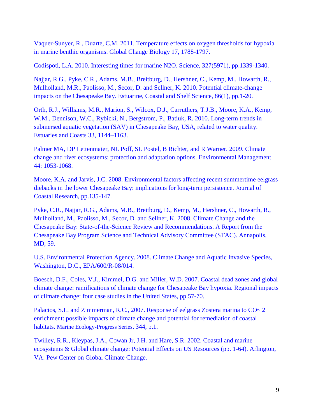[Vaquer-Sunyer, R., Duarte, C.M. 2011. Temperature effects on oxygen thresholds for hypoxia](http://digital.csic.es/bitstream/10261/30809/3/Temperature%20effects%20on%20thresholds%20of%20hypoxia%20for%20marine%20benthic%20organisms.pdf)  [in marine benthic organisms. Global Change Biology 17, 1788-1797.](http://digital.csic.es/bitstream/10261/30809/3/Temperature%20effects%20on%20thresholds%20of%20hypoxia%20for%20marine%20benthic%20organisms.pdf)

[Codispoti, L.A. 2010. Interesting times for marine N2O. Science, 327\(5971\), pp.1339-1340.](http://science.sciencemag.org/content/sci/327/5971/1339.full.pdf)

[Najjar, R.G., Pyke, C.R., Adams, M.B., Breitburg, D., Hershner, C., Kemp, M., Howarth, R.,](http://www.nrs.fs.fed.us/pubs/jrnl/2010/nrs_2010_najjar_001.pdf)  [Mulholland, M.R., Paolisso, M., Secor, D. and Sellner, K. 2010. Potential climate-change](http://www.nrs.fs.fed.us/pubs/jrnl/2010/nrs_2010_najjar_001.pdf)  [impacts on the Chesapeake Bay. Estuarine, Coastal and Shelf Science, 86\(1\), pp.1-20.](http://www.nrs.fs.fed.us/pubs/jrnl/2010/nrs_2010_najjar_001.pdf)

[Orth, R.J., Williams, M.R., Marion, S., Wilcox, D.J., Carruthers, T.J.B., Moore, K.A., Kemp,](http://www.jstor.org/stable/40863485?seq=1#page_scan_tab_contents)  [W.M., Dennison, W.C., Rybicki, N., Bergstrom, P., Batiuk, R.](http://www.jstor.org/stable/40863485?seq=1#page_scan_tab_contents) 2010. Long-term trends in [submersed aquatic vegetation \(SAV\) in Chesapeake Bay, USA, related to water quality.](http://www.jstor.org/stable/40863485?seq=1#page_scan_tab_contents)  [Estuaries and Coasts 33, 1144–1163.](http://www.jstor.org/stable/40863485?seq=1#page_scan_tab_contents)

[Palmer MA, DP Lettenmaier, NL Poff, SL Postel, B Richter, and R Warner. 2009. Climate](https://www.ncbi.nlm.nih.gov/pubmed/19597873)  [change and river ecosystems: protection and adaptation options. Environmental Management](https://www.ncbi.nlm.nih.gov/pubmed/19597873)  [44: 1053-1068.](https://www.ncbi.nlm.nih.gov/pubmed/19597873)

Moore, K.A. and Jarvis, J.C. [2008. Environmental factors affecting recent summertime eelgrass](http://www.bioone.org/doi/pdf/10.2112/SI55-014)  [diebacks in the lower Chesapeake Bay: implications for long-term persistence. Journal of](http://www.bioone.org/doi/pdf/10.2112/SI55-014)  [Coastal Research, pp.135-147.](http://www.bioone.org/doi/pdf/10.2112/SI55-014)

[Pyke, C.R., Najjar, R.G., Adams, M.B., Breitburg, D., Kemp, M., Hershner, C., Howarth, R.,](http://www.nrs.fs.fed.us/pubs/jrnl/2010/nrs_2010_najjar_001.pdf)  [Mulholland, M., Paolisso, M., Secor, D. and Sellner, K.](http://www.nrs.fs.fed.us/pubs/jrnl/2010/nrs_2010_najjar_001.pdf) 2008. Climate Change and the [Chesapeake Bay: State-of-the-Science Review and Recommendations. A Report from the](http://www.nrs.fs.fed.us/pubs/jrnl/2010/nrs_2010_najjar_001.pdf)  [Chesapeake Bay Program Science and Technical Advisory Committee \(STAC\). Annapolis,](http://www.nrs.fs.fed.us/pubs/jrnl/2010/nrs_2010_najjar_001.pdf)  [MD, 59.](http://www.nrs.fs.fed.us/pubs/jrnl/2010/nrs_2010_najjar_001.pdf)

[U.S. Environmental Protection Agency. 2008. Climate Change and Aquatic Invasive Species,](http://www.chesapeake.org/pubs/Copy%20of%20climatechangefinaldraft.pdf)  [Washington, D.C., EPA/600/R-08/014.](http://www.chesapeake.org/pubs/Copy%20of%20climatechangefinaldraft.pdf)

[Boesch, D.F., Coles, V.J., Kimmel, D.G. and Miller, W.D.](http://www.c2es.org/docUploads/Regional-Impacts-Chesapeake.pdf) 2007. Coastal dead zones and global [climate change: ramifications of climate change for Chesapeake Bay hypoxia. Regional impacts](http://www.c2es.org/docUploads/Regional-Impacts-Chesapeake.pdf)  [of climate change: four case studies in the United States, pp.57-70.](http://www.c2es.org/docUploads/Regional-Impacts-Chesapeake.pdf)

[Palacios, S.L. and Zimmerman, R.C., 2007. Response of eelgrass Zostera marina to CO~ 2](http://www.int-res.com/articles/feature/m344p001)  [enrichment: possible impacts of climate change and potential for remediation of coastal](http://www.int-res.com/articles/feature/m344p001)  habitats. [Marine Ecology-Progress Series,](http://www.int-res.com/articles/feature/m344p001) 344, p.1.

[Twilley, R.R., Kleypas, J.A., Cowan Jr, J.H. and Hare, S.R. 2002. Coastal and marine](http://www.c2es.org/taxonomy/term/138)  [ecosystems & Global climate change: Potential Effects on US Resources \(pp. 1-64\). Arlington,](http://www.c2es.org/taxonomy/term/138)  [VA: Pew Center on Global Climate Change.](http://www.c2es.org/taxonomy/term/138)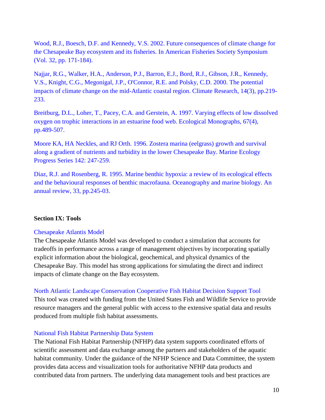[Wood, R.J., Boesch, D.F. and Kennedy, V.S. 2002. Future consequences of climate change for](http://www.umces.edu/sites/default/files/pdfs/db_Future.pdf)  [the Chesapeake Bay ecosystem and its fisheries. In American Fisheries Society Symposium](http://www.umces.edu/sites/default/files/pdfs/db_Future.pdf)  [\(Vol. 32, pp. 171-184\).](http://www.umces.edu/sites/default/files/pdfs/db_Future.pdf)

[Najjar, R.G., Walker, H.A., Anderson, P.J., Barron, E.J., Bord, R.J., Gibson, J.R., Kennedy,](http://www.cara.psu.edu/about/publications/Najjar_et_al_2000.pdf)  [V.S., Knight, C.G., Megonigal, J.P., O'Connor, R.E. and Polsky, C.D. 2000. The potential](http://www.cara.psu.edu/about/publications/Najjar_et_al_2000.pdf)  [impacts of climate change on the mid-Atlantic coastal region. Climate Research, 14\(3\), pp.219-](http://www.cara.psu.edu/about/publications/Najjar_et_al_2000.pdf) [233.](http://www.cara.psu.edu/about/publications/Najjar_et_al_2000.pdf)

[Breitburg, D.L., Loher, T., Pacey, C.A. and Gerstein, A.](http://www.jstor.org/stable/2963467?seq=1#page_scan_tab_contents) 1997. Varying effects of low dissolved [oxygen on trophic interactions in an estuarine](http://www.jstor.org/stable/2963467?seq=1#page_scan_tab_contents) food web. Ecological Monographs, 67(4), [pp.489-507.](http://www.jstor.org/stable/2963467?seq=1#page_scan_tab_contents)

[Moore KA, HA Neckles, and RJ Orth. 1996. Zostera marina \(eelgrass\) growth and survival](http://www.int-res.com/articles/meps/142/m142p247.pdf)  [along a gradient of nutrients and turbidity in the lower Chesapeake](http://www.int-res.com/articles/meps/142/m142p247.pdf) Bay. Marine Ecology [Progress Series 142: 247-259.](http://www.int-res.com/articles/meps/142/m142p247.pdf)

[Diaz, R.J. and Rosenberg, R. 1995. Marine benthic hypoxia: a review of its ecological effects](https://www.researchgate.net/profile/Robert_Diaz5/publication/236628341_Marine_benthic_hypoxia_a_review_of_its_ecological_effects_and_the_behavioral_responses_of_benthic_macrofauna._Oceanogr_Mar_Biol_33245-303_An_Annual_Review/links/02e7e526a7c717396d000000.pdf)  [and the behavioural responses of benthic macrofauna.](https://www.researchgate.net/profile/Robert_Diaz5/publication/236628341_Marine_benthic_hypoxia_a_review_of_its_ecological_effects_and_the_behavioral_responses_of_benthic_macrofauna._Oceanogr_Mar_Biol_33245-303_An_Annual_Review/links/02e7e526a7c717396d000000.pdf) Oceanography and marine biology. An [annual review, 33, pp.245-03.](https://www.researchgate.net/profile/Robert_Diaz5/publication/236628341_Marine_benthic_hypoxia_a_review_of_its_ecological_effects_and_the_behavioral_responses_of_benthic_macrofauna._Oceanogr_Mar_Biol_33245-303_An_Annual_Review/links/02e7e526a7c717396d000000.pdf)

#### <span id="page-9-0"></span>**Section IX: Tools**

#### [Chesapeake Atlantis Model](http://chesapeakebay.noaa.gov/ecosystem-modeling/chesapeake-atlantis-model)

The Chesapeake Atlantis Model was developed to conduct a simulation that accounts for tradeoffs in performance across a range of management objectives by incorporating spatially explicit information about the biological, geochemical, and physical dynamics of the Chesapeake Bay. This model has strong applications for simulating the direct and indirect impacts of climate change on the Bay ecosystem.

[North Atlantic Landscape Conservation Cooperative](http://www.fishhabitattool.org/) Fish Habitat Decision Support Tool

This tool was created with funding from the United States Fish and Wildlife Service to provide resource managers and the general public with access to the extensive spatial data and results produced from multiple fish habitat assessments.

#### [National Fish Habitat Partnership Data System](http://ecosystems.usgs.gov/fishhabitat/)

The National Fish Habitat Partnership (NFHP) data system supports coordinated efforts of scientific assessment and data exchange among the partners and stakeholders of the aquatic habitat community. Under the guidance of the NFHP Science and Data Committee, the system provides data access and visualization tools for authoritative NFHP data products and contributed data from partners. The underlying data management tools and best practices are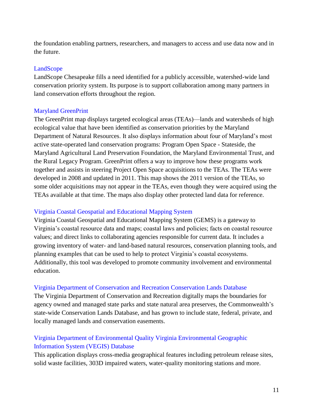the foundation enabling partners, researchers, and managers to access and use data now and in the future.

### [LandScope](http://www.landscope.org/chesapeake)

LandScope Chesapeake fills a need identified for a publicly accessible, watershed-wide land conservation priority system. Its purpose is to support collaboration among many partners in land conservation efforts throughout the region.

## Maryland [GreenPrint](http://dnr2.maryland.gov/land/Pages/Green-Infrastructure-Mapping.aspx)

The GreenPrint map displays targeted ecological areas (TEAs)—lands and watersheds of high ecological value that have been identified as conservation priorities by the Maryland Department of Natural Resources. It also displays information about four of Maryland's most active state-operated land conservation programs: Program Open Space - Stateside, the Maryland Agricultural Land Preservation Foundation, the Maryland Environmental Trust, and the Rural Legacy Program. GreenPrint offers a way to improve how these programs work together and assists in steering Project Open Space acquisitions to the TEAs. The TEAs were developed in 2008 and updated in 2011. This map shows the 2011 version of the TEAs, so some older acquisitions may not appear in the TEAs, even though they were acquired using the TEAs available at that time. The maps also display other protected land data for reference.

## Virginia [Coastal Geospatial and Educational Mapping System](http://www.deq.virginia.gov/Programs/CoastalZoneManagement/CoastalGEMSGeospatialData.aspx)

Virginia Coastal Geospatial and Educational Mapping System (GEMS) is a gateway to Virginia's coastal resource data and maps; coastal laws and policies; facts on coastal resource values; and direct links to collaborating agencies responsible for current data. It includes a growing inventory of water- and land-based natural resources, conservation planning tools, and planning examples that can be used to help to protect Virginia's coastal ecosystems. Additionally, this tool was developed to promote community involvement and environmental education.

## Virginia [Department of Conservation and Recreation](http://www.dcr.virginia.gov/natural-heritage/clinfo#dev) Conservation Lands Database

The Virginia Department of Conservation and Recreation digitally maps the boundaries for agency owned and managed state parks and state natural area preserves, the Commonwealth's state-wide Conservation Lands Database, and has grown to include state, federal, private, and locally managed lands and conservation easements.

## Virginia [Department of Environmental Quality Virginia Environmental Geographic](http://www.deq.virginia.gov/ConnectWithDEQ/VEGIS.aspx)  [Information System \(VEGIS\)](http://www.deq.virginia.gov/ConnectWithDEQ/VEGIS.aspx) Database

This application displays cross-media geographical features including petroleum release sites, solid waste facilities, 303D impaired waters, water-quality monitoring stations and more.